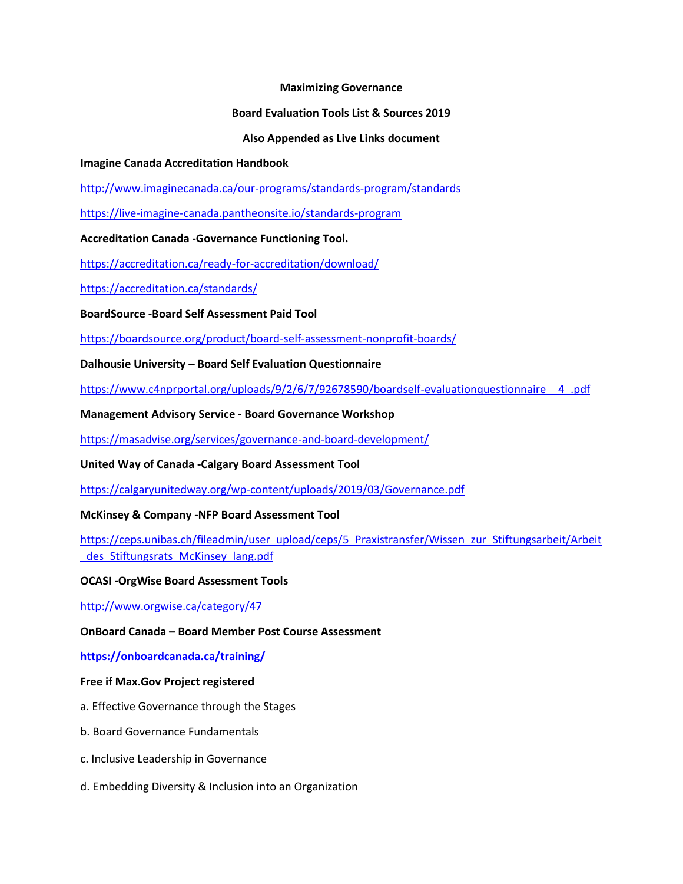#### **Maximizing Governance**

#### **Board Evaluation Tools List & Sources 2019**

#### **Also Appended as Live Links document**

#### **Imagine Canada Accreditation Handbook**

<http://www.imaginecanada.ca/our-programs/standards-program/standards>

<https://live-imagine-canada.pantheonsite.io/standards-program>

**Accreditation Canada -Governance Functioning Tool.**

<https://accreditation.ca/ready-for-accreditation/download/>

<https://accreditation.ca/standards/>

**BoardSource -Board Self Assessment Paid Tool**

<https://boardsource.org/product/board-self-assessment-nonprofit-boards/>

**Dalhousie University – Board Self Evaluation Questionnaire**

[https://www.c4nprportal.org/uploads/9/2/6/7/92678590/boardself-evaluationquestionnaire\\_\\_4\\_.pdf](https://www.c4nprportal.org/uploads/9/2/6/7/92678590/boardself-evaluationquestionnaire__4_.pdf)

**Management Advisory Service - Board Governance Workshop** 

<https://masadvise.org/services/governance-and-board-development/>

**United Way of Canada -Calgary Board Assessment Tool**

<https://calgaryunitedway.org/wp-content/uploads/2019/03/Governance.pdf>

#### **McKinsey & Company -NFP Board Assessment Tool**

[https://ceps.unibas.ch/fileadmin/user\\_upload/ceps/5\\_Praxistransfer/Wissen\\_zur\\_Stiftungsarbeit/Arbeit](https://ceps.unibas.ch/fileadmin/user_upload/ceps/5_Praxistransfer/Wissen_zur_Stiftungsarbeit/Arbeit_des_Stiftungsrats_McKinsey_lang.pdf) des Stiftungsrats McKinsey lang.pdf

#### **OCASI -OrgWise Board Assessment Tools**

<http://www.orgwise.ca/category/47>

**OnBoard Canada – Board Member Post Course Assessment**

**<https://onboardcanada.ca/training/>**

#### **Free if Max.Gov Project registered**

- a. Effective Governance through the Stages
- b. Board Governance Fundamentals
- c. Inclusive Leadership in Governance
- d. Embedding Diversity & Inclusion into an Organization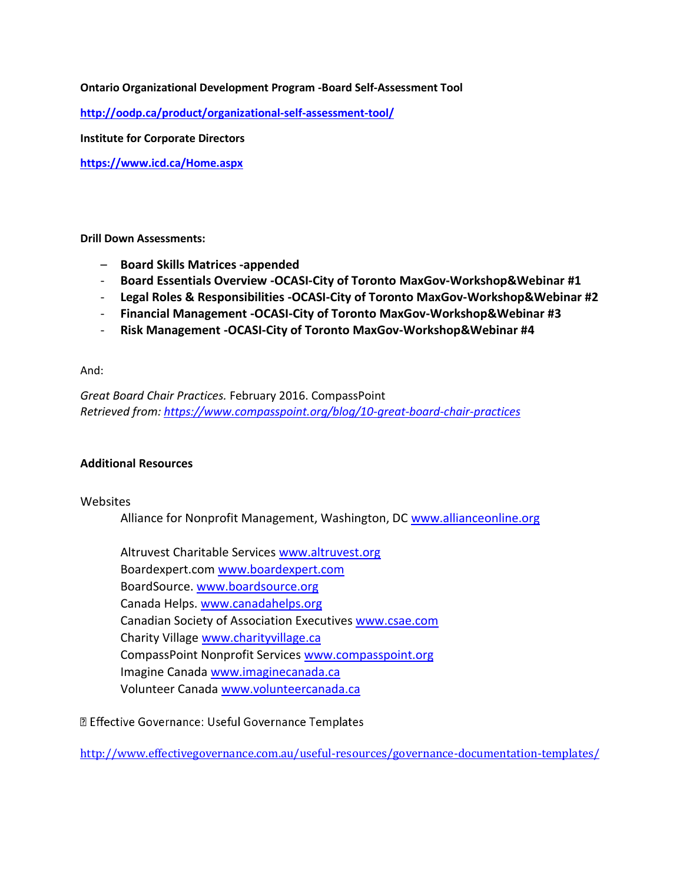#### **Ontario Organizational Development Program -Board Self-Assessment Tool**

**<http://oodp.ca/product/organizational-self-assessment-tool/>**

**Institute for Corporate Directors** 

**<https://www.icd.ca/Home.aspx>**

**Drill Down Assessments:** 

- **Board Skills Matrices -appended**
- **Board Essentials Overview -OCASI-City of Toronto MaxGov-Workshop&Webinar #1**
- **Legal Roles & Responsibilities -OCASI-City of Toronto MaxGov-Workshop&Webinar #2**
- **Financial Management -OCASI-City of Toronto MaxGov-Workshop&Webinar #3**
- **Risk Management -OCASI-City of Toronto MaxGov-Workshop&Webinar #4**

And:

*Great Board Chair Practices.* February 2016. CompassPoint *Retrieved from:<https://www.compasspoint.org/blog/10-great-board-chair-practices>*

#### **Additional Resources**

#### Websites

Alliance for Nonprofit Management, Washington, DC [www.allianceonline.org](http://www.allianceonline.org/)

Altruvest Charitable Services [www.altruvest.org](http://www.altruvest.org/) Boardexpert.com [www.boardexpert.com](http://www.boardexpert.com/) BoardSource. [www.boardsource.org](http://www.boardsource.org/) Canada Helps. [www.canadahelps.org](http://www.canadahelps.org/) Canadian Society of Association Executives [www.csae.com](http://www.csae.com/) Charity Villag[e www.charityvillage.ca](http://www.charityvillage.ca/) CompassPoint Nonprofit Services [www.compasspoint.org](http://www.compasspoint.org/) Imagine Canad[a www.imaginecanada.ca](http://www.imaginecanada.ca/) Volunteer Canada [www.volunteercanada.ca](http://www.volunteercanada.ca/)

**<b><u></u>** Effective Governance: Useful Governance Templates

<http://www.effectivegovernance.com.au/useful-resources/governance-documentation-templates/>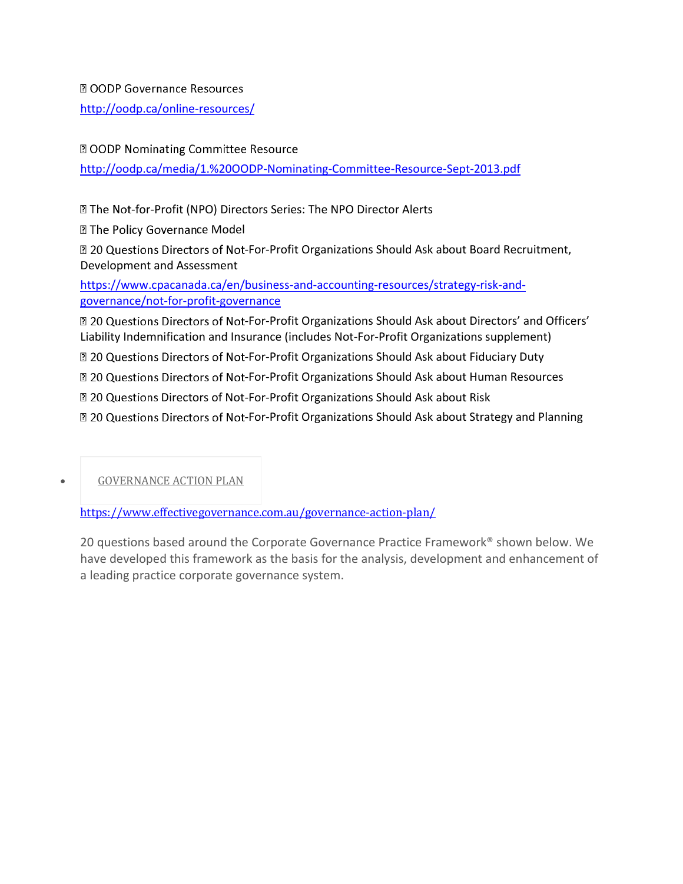**2** OODP Governance Resources

<http://oodp.ca/online-resources/>

2 OODP Nominating Committee Resource

<http://oodp.ca/media/1.%20OODP-Nominating-Committee-Resource-Sept-2013.pdf>

**Z The Not-for-Profit (NPO) Directors Series: The NPO Director Alerts** 

**Z The Policy Governance Model** 

**20 Questions Directors of Not-For-Profit Organizations Should Ask about Board Recruitment,** Development and Assessment

[https://www.cpacanada.ca/en/business-and-accounting-resources/strategy-risk-and](https://www.cpacanada.ca/en/business-and-accounting-resources/strategy-risk-and-governance/not-for-profit-governance)[governance/not-for-profit-governance](https://www.cpacanada.ca/en/business-and-accounting-resources/strategy-risk-and-governance/not-for-profit-governance)

 $\mathbb D$  20 Questions Directors of Not-For-Profit Organizations Should Ask about Directors' and Officers' Liability Indemnification and Insurance (includes Not-For-Profit Organizations supplement)

 $\boxtimes$  20 Questions Directors of Not-For-Profit Organizations Should Ask about Fiduciary Duty

 $\boxtimes$  20 Questions Directors of Not-For-Profit Organizations Should Ask about Human Resources

**Z 20 Questions Directors of Not-For-Profit Organizations Should Ask about Risk** 

20 Questions Directors of Not-For-Profit Organizations Should Ask about Strategy and Planning

[GOVERNANCE](https://www.effectivegovernance.com.au/governance-action-plan/) ACTION PLAN

<https://www.effectivegovernance.com.au/governance-action-plan/>

20 questions based around the Corporate Governance Practice Framework® shown below. We have developed this framework as the basis for the analysis, development and enhancement of a leading practice corporate governance system.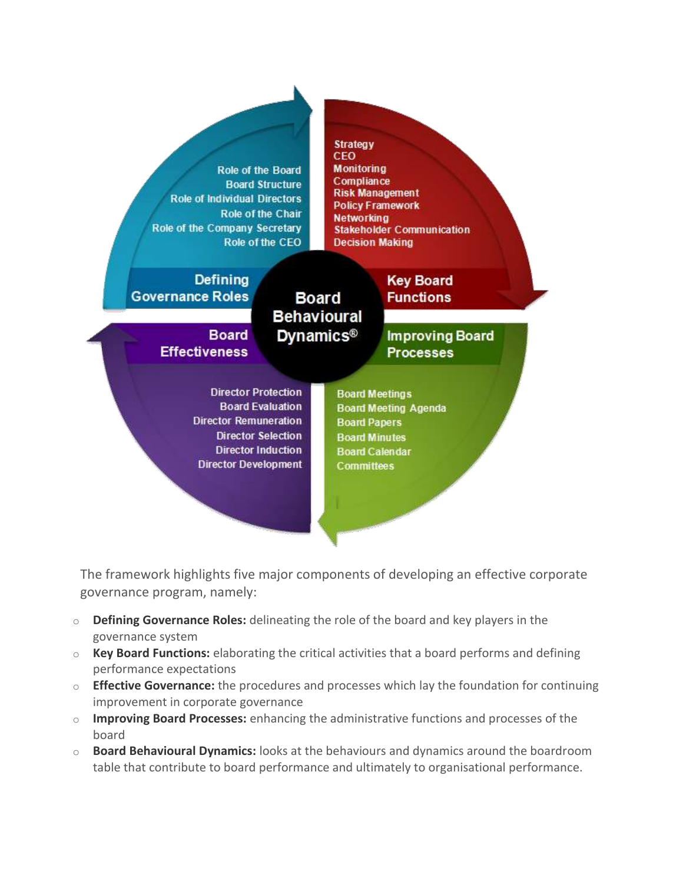

The framework highlights five major components of developing an effective corporate governance program, namely:

- o **Defining Governance Roles:** delineating the role of the board and key players in the governance system
- o **Key Board Functions:** elaborating the critical activities that a board performs and defining performance expectations
- o **Effective Governance:** the procedures and processes which lay the foundation for continuing improvement in corporate governance
- o **Improving Board Processes:** enhancing the administrative functions and processes of the board
- o **Board Behavioural Dynamics:** looks at the behaviours and dynamics around the boardroom table that contribute to board performance and ultimately to organisational performance.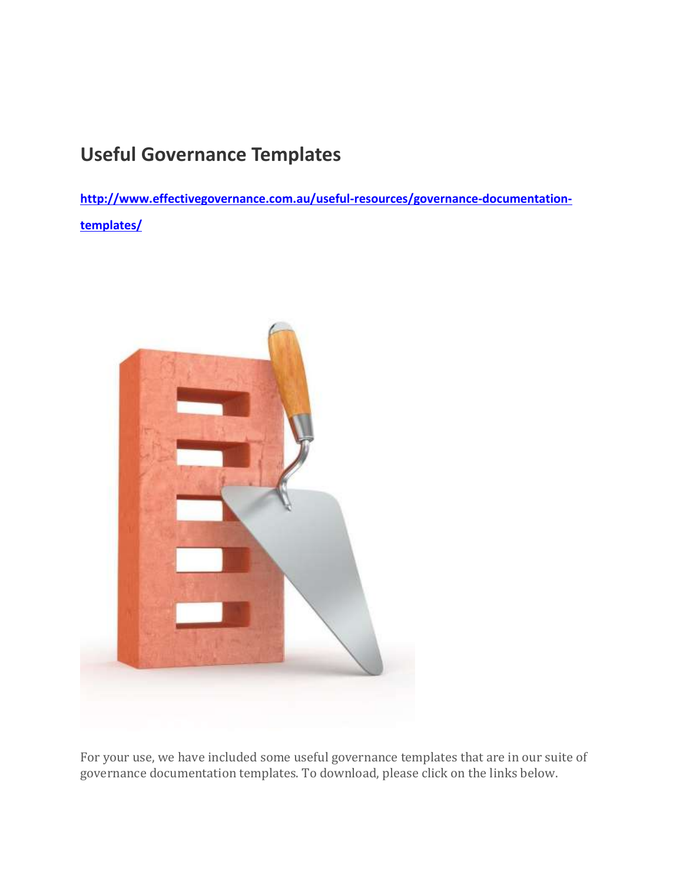## **Useful Governance Templates**

**[http://www.effectivegovernance.com.au/useful-resources/governance-documentation](http://www.effectivegovernance.com.au/useful-resources/governance-documentation-templates/)[templates/](http://www.effectivegovernance.com.au/useful-resources/governance-documentation-templates/)**



For your use, we have included some useful governance templates that are in our suite of governance documentation templates. To download, please click on the links below.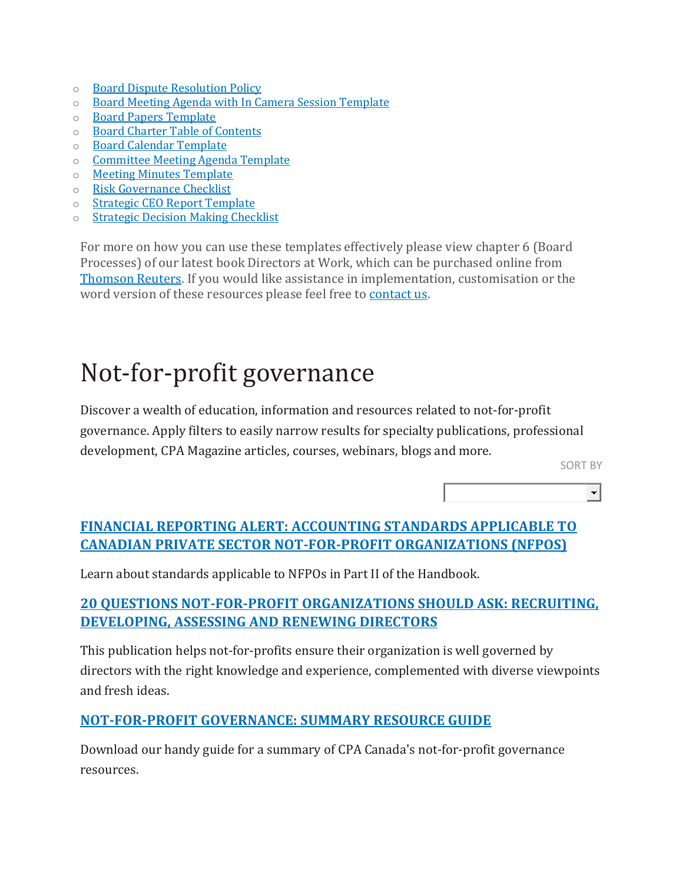- o Board Dispute [Resolution](http://www.effectivegovernance.com.au/wp-content/uploads/2018/02/eG-Board-Dispute-Resolution-Policy-2018.pdf) Policy
- o Board Meeting Agenda with In Camera Session [Template](http://www.effectivegovernance.com.au/wp-content/uploads/2018/02/eG-Board-Meeting-Agenda-Template-2018.pdf)
- o Board Papers [Template](http://www.effectivegovernance.com.au/wp-content/uploads/2018/02/eG-Board-Paper-Template-2018.pdf)
- o Board Charter Table of [Contents](http://www.effectivegovernance.com.au/wp-content/uploads/2018/02/eG-Board-Charter-Table-of-Contents-2018.pdf)
- o Board Calendar [Template](http://www.effectivegovernance.com.au/wp-content/uploads/2018/02/eG-Board-Calendar-Template-2018.pdf)
- o [Committee](http://www.effectivegovernance.com.au/wp-content/uploads/2018/02/eG-Committee-Meeting-Agenda-Template-2018.pdf) Meeting Agenda Template
- o Meeting Minutes [Template](http://www.effectivegovernance.com.au/wp-content/uploads/2018/02/eG-Meeting-Minutes-Template-2018.pdf)
- o Risk [Governance](http://www.effectivegovernance.com.au/wp-content/uploads/2018/02/eG-Risk-Governance-Checklist-2018.pdf) Checklist
- o Strategic CEO Report [Template](http://www.effectivegovernance.com.au/wp-content/uploads/2018/02/eG-Strategic-CEO-Report-2018.pdf)
- o Strategic Decision Making [Checklist](http://www.effectivegovernance.com.au/wp-content/uploads/2018/02/eG-Strategic-Decision-Checklist-2018.pdf)

For more on how you can use these templates effectively please view chapter 6 (Board Processes) of our latest book Directors at Work, which can be purchased online from [Thomson](http://www.thomsonreuters.com.au/directors-at-work-a-practical-guide-for-boards/productdetail/114989) Reuters. If you would like assistance in implementation, customisation or the word version of these resources please feel free to [contact](http://www.effectivegovernance.com.au/contact-us/) us.

# Not-for-profit governance

Discover a wealth of education, information and resources related to not-for-profit governance. Apply filters to easily narrow results for specialty publications, professional development, CPA Magazine articles, courses, webinars, blogs and more.

SORT BY

 $\left| \cdot \right|$ 

## **[FINANCIAL REPORTING ALERT: ACCOUNTING STANDARDS APPLICABLE TO](https://www.cpacanada.ca/en/business-and-accounting-resources/financial-and-non-financial-reporting/not-for-profit-organizations/publications/accounting-standards-applicable-to-private-sector-nfpos)  [CANADIAN PRIVATE SECTOR NOT-FOR-PROFIT ORGANIZATIONS](https://www.cpacanada.ca/en/business-and-accounting-resources/financial-and-non-financial-reporting/not-for-profit-organizations/publications/accounting-standards-applicable-to-private-sector-nfpos) (NFPOS)**

Learn about standards applicable to NFPOs in Part II of the Handbook.

## **[20 QUESTIONS NOT-FOR-PROFIT ORGANIZATIONS](https://www.cpacanada.ca/en/business-and-accounting-resources/strategy-risk-and-governance/not-for-profit-governance/publications/nfp-directors-recruiting-developing-assessing-renewing) SHOULD ASK: RECRUITING, [DEVELOPING, ASSESSING AND RENEWING DIRECTORS](https://www.cpacanada.ca/en/business-and-accounting-resources/strategy-risk-and-governance/not-for-profit-governance/publications/nfp-directors-recruiting-developing-assessing-renewing)**

This publication helps not-for-profits ensure their organization is well governed by directors with the right knowledge and experience, complemented with diverse viewpoints and fresh ideas.

## **[NOT-FOR-PROFIT GOVERNANCE: SUMMARY RESOURCE GUIDE](https://www.cpacanada.ca/en/business-and-accounting-resources/strategy-risk-and-governance/not-for-profit-governance/publications/not-for-profit-governance-resource-guide)**

Download our handy guide for a summary of CPA Canada's not-for-profit governance resources.